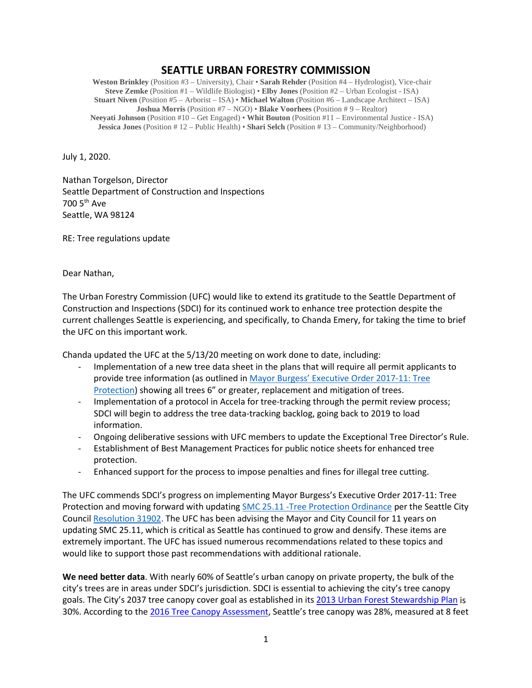## **SEATTLE URBAN FORESTRY COMMISSION**

**Weston Brinkley** (Position #3 – University), Chair • **Sarah Rehder** (Position #4 – Hydrologist), Vice-chair **Steve Zemke** (Position #1 – Wildlife Biologist) • **Elby Jones** (Position #2 – Urban Ecologist - ISA) **Stuart Niven** (Position #5 – Arborist – ISA) • **Michael Walton** (Position #6 – Landscape Architect – ISA) **Joshua Morris** (Position #7 – NGO) • **Blake Voorhees** (Position # 9 – Realtor) **Neeyati Johnson** (Position #10 – Get Engaged) • **Whit Bouton** (Position #11 – Environmental Justice - ISA) **Jessica Jones** (Position # 12 – Public Health) • **Shari Selch** (Position # 13 – Community/Neighborhood)

July 1, 2020.

Nathan Torgelson, Director Seattle Department of Construction and Inspections 700 5th Ave Seattle, WA 98124

RE: Tree regulations update

Dear Nathan,

The Urban Forestry Commission (UFC) would like to extend its gratitude to the Seattle Department of Construction and Inspections (SDCI) for its continued work to enhance tree protection despite the current challenges Seattle is experiencing, and specifically, to Chanda Emery, for taking the time to brief the UFC on this important work.

Chanda updated the UFC at the 5/13/20 meeting on work done to date, including:

- Implementation of a new tree data sheet in the plans that will require all permit applicants to provide tree information (as outlined in [Mayor Burgess' Executive Order](http://www.seattle.gov/Documents/Departments/UrbanForestryCommission/2018/2018docs/TreeExecOrder2017-11FINAL.pdf) 2017-11: Tree [Protection\)](http://www.seattle.gov/Documents/Departments/UrbanForestryCommission/2018/2018docs/TreeExecOrder2017-11FINAL.pdf) showing all trees 6" or greater, replacement and mitigation of trees.
- Implementation of a protocol in Accela for tree-tracking through the permit review process; SDCI will begin to address the tree data-tracking backlog, going back to 2019 to load information.
- Ongoing deliberative sessions with UFC members to update the Exceptional Tree Director's Rule.
- Establishment of Best Management Practices for public notice sheets for enhanced tree protection.
- Enhanced support for the process to impose penalties and fines for illegal tree cutting.

The UFC commends SDCI's progress on implementing Mayor Burgess's Executive Order 2017-11: Tree Protection and moving forward with updating SMC 25.11 [-Tree Protection Ordinance](https://library.municode.com/wa/seattle/codes/municipal_code?nodeId=TIT25ENPRHIPR_CH25.11TRPR_25.11.010PUIN) per the Seattle City Counci[l Resolution 31902.](http://seattle.legistar.com/ViewReport.ashx?M=R&N=Text&GID=393&ID=3667453&GUID=8D207CD2-96FC-4B02-94AB-7832F169796D&Title=Legislation+Text) The UFC has been advising the Mayor and City Council for 11 years on updating SMC 25.11, which is critical as Seattle has continued to grow and densify. These items are extremely important. The UFC has issued numerous recommendations related to these topics and would like to support those past recommendations with additional rationale.

**We need better data**. With nearly 60% of Seattle's urban canopy on private property, the bulk of the city's trees are in areas under SDCI's jurisdiction. SDCI is essential to achieving the city's tree canopy goals. The City's 2037 tree canopy cover goal as established in its [2013 Urban Forest Stewardship Plan](https://www.seattle.gov/Documents/Departments/Trees/Mangement/2013_Urban_Forest_Stewardship_Plan.pdf) is 30%. According to th[e 2016 Tree Canopy Assessment,](http://www.seattle.gov/Documents/Departments/Trees/Mangement/Canopy/Seattle2016CCAFinalReportFINAL.pdf) Seattle's tree canopy was 28%, measured at 8 feet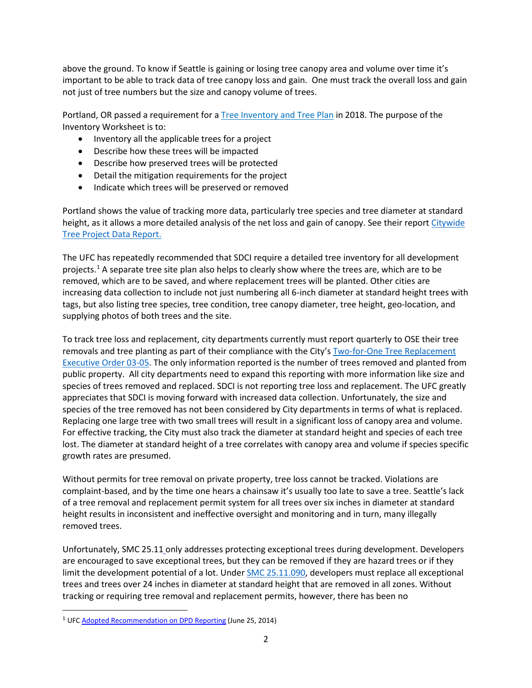above the ground. To know if Seattle is gaining or losing tree canopy area and volume over time it's important to be able to track data of tree canopy loss and gain. One must track the overall loss and gain not just of tree numbers but the size and canopy volume of trees.

Portland, OR passed a requirement for [a Tree Inventory and Tree Plan](https://www.portlandoregon.gov/trees/66987) in 2018. The purpose of the Inventory Worksheet is to:

- Inventory all the applicable trees for a project
- Describe how these trees will be impacted
- Describe how preserved trees will be protected
- Detail the mitigation requirements for the project
- Indicate which trees will be preserved or removed

Portland shows the value of tracking more data, particularly tree species and tree diameter at standard height, as it allows a more detailed analysis of the net loss and gain of canopy. See their report Citywide [Tree Project Data Report.](https://www.portlandoregon.gov/parks/article/571564)

The UFC has repeatedly recommended that SDCI require a detailed tree inventory for all development projects. [1](#page-1-0) A separate tree site plan also helps to clearly show where the trees are, which are to be removed, which are to be saved, and where replacement trees will be planted. Other cities are increasing data collection to include not just numbering all 6-inch diameter at standard height trees with tags, but also listing tree species, tree condition, tree canopy diameter, tree height, geo-location, and supplying photos of both trees and the site.

To track tree loss and replacement, city departments currently must report quarterly to OSE their tree removals and tree planting as part of their compliance with the City's [Two-for-One Tree Replacement](http://www.seattle.gov/Documents/Departments/UrbanForestryCommission/Resources/TwoForOneExecutiveOrder03-05.pdf)  [Executive Order 03-05.](http://www.seattle.gov/Documents/Departments/UrbanForestryCommission/Resources/TwoForOneExecutiveOrder03-05.pdf) The only information reported is the number of trees removed and planted from public property. All city departments need to expand this reporting with more information like size and species of trees removed and replaced. SDCI is not reporting tree loss and replacement. The UFC greatly appreciates that SDCI is moving forward with increased data collection. Unfortunately, the size and species of the tree removed has not been considered by City departments in terms of what is replaced. Replacing one large tree with two small trees will result in a significant loss of canopy area and volume. For effective tracking, the City must also track the diameter at standard height and species of each tree lost. The diameter at standard height of a tree correlates with canopy area and volume if species specific growth rates are presumed.

Without permits for tree removal on private property, tree loss cannot be tracked. Violations are complaint-based, and by the time one hears a chainsaw it's usually too late to save a tree. Seattle's lack of a tree removal and replacement permit system for all trees over six inches in diameter at standard height results in inconsistent and ineffective oversight and monitoring and in turn, many illegally removed trees.

Unfortunately, SMC 25.11 only addresses protecting exceptional trees during development. Developers are encouraged to save exceptional trees, but they can be removed if they are hazard trees or if they limit the development potential of a lot. Under [SMC 25.11.090,](https://library.municode.com/wa/seattle/codes/municipal_code?nodeId=TIT25ENPRHIPR_CH25.11TRPR_25.11.090TRRESIRE) developers must replace all exceptional trees and trees over 24 inches in diameter at standard height that are removed in all zones. Without tracking or requiring tree removal and replacement permits, however, there has been no

<span id="page-1-0"></span><sup>&</sup>lt;sup>1</sup> UF[C Adopted Recommendation on DPD Reporting](https://www.seattle.gov/Documents/Departments/UrbanForestryCommission/FinalIssuedDocuments/Recommendations/ADOPTEDDPDReportingLetter062514.pdf) (June 25, 2014)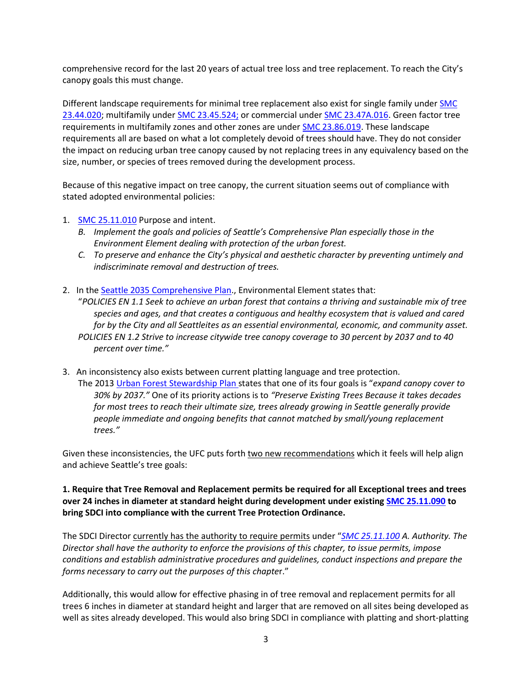comprehensive record for the last 20 years of actual tree loss and tree replacement. To reach the City's canopy goals this must change.

Different landscape requirements for minimal tree replacement also exist for single family under SMC [23.44.020;](https://library.municode.com/wa/seattle/codes/municipal_code?nodeId=TIT23LAUSCO_SUBTITLE_IIILAUSRE_CH23.44RESIMI_SUBCHAPTER_IPRUSPEOU_23.44.020TRRE) multifamily under [SMC 23.45.524;](https://library.municode.com/wa/seattle/codes/municipal_code?nodeId=TIT23LAUSCO_SUBTITLE_IIILAUSRE_CH23.45MU_23.45.524LAST) or commercial under [SMC 23.47A.016.](https://library.municode.com/wa/seattle/codes/municipal_code?nodeId=TIT23LAUSCO_SUBTITLE_IIILAUSRE_CH23.47ACO_23.47A.016LASCST) Green factor tree requirements in multifamily zones and other zones are under [SMC 23.86.019.](https://library.municode.com/wa/seattle/codes/municipal_code?nodeId=TIT23LAUSCO_SUBTITLE_IVAD_CH23.86ME_23.86.019GRFAME) These landscape requirements all are based on what a lot completely devoid of trees should have. They do not consider the impact on reducing urban tree canopy caused by not replacing trees in any equivalency based on the size, number, or species of trees removed during the development process.

Because of this negative impact on tree canopy, the current situation seems out of compliance with stated adopted environmental policies:

- 1. [SMC 25.11.010](https://library.municode.com/wa/seattle/codes/municipal_code?nodeId=TIT25ENPRHIPR_CH25.11TRPR_25.11.010PUIN) Purpose and intent.
	- *B. Implement the goals and policies of Seattle's Comprehensive Plan especially those in the Environment Element dealing with protection of the urban forest.*
	- *C. To preserve and enhance the City's physical and aesthetic character by preventing untimely and indiscriminate removal and destruction of trees.*
- 2. In the [Seattle 2035 Comprehensive Plan.](http://www.seattle.gov/opcd/ongoing-initiatives/comprehensive-plan), Environmental Element states that: "*POLICIES EN 1.1 Seek to achieve an urban forest that contains a thriving and sustainable mix of tree species and ages, and that creates a contiguous and healthy ecosystem that is valued and cared for by the City and all Seattleites as an essential environmental, economic, and community asset. POLICIES EN 1.2 Strive to increase citywide tree canopy coverage to 30 percent by 2037 and to 40 percent over time."*
- 3. An inconsistency also exists between current platting language and tree protection. The 2013 [Urban Forest Stewardship Plan](https://www.seattle.gov/Documents/Departments/Trees/Mangement/2013_Urban_Forest_Stewardship_Plan.pdf) states that one of its four goals is "*expand canopy cover to 30% by 2037."* One of its priority actions is to *"Preserve Existing Trees Because it takes decades for most trees to reach their ultimate size, trees already growing in Seattle generally provide people immediate and ongoing benefits that cannot matched by small/young replacement trees."*

Given these inconsistencies, the UFC puts forth two new recommendations which it feels will help align and achieve Seattle's tree goals:

**1. Require that Tree Removal and Replacement permits be required for all Exceptional trees and trees over 24 inches in diameter at standard height during development under existing [SMC 25.11.090](https://library.municode.com/wa/seattle/codes/municipal_code?nodeId=TIT25ENPRHIPR_CH25.11TRPR_25.11.090TRRESIRE) to bring SDCI into compliance with the current Tree Protection Ordinance.**

The SDCI Director currently has the authority to require permits under "*[SMC 25.11.100](https://library.municode.com/wa/seattle/codes/municipal_code?nodeId=TIT25ENPRHIPR_CH25.11TRPR_25.11.100ENPE) A. Authority. The Director shall have the authority to enforce the provisions of this chapter, to issue permits, impose conditions and establish administrative procedures and guidelines, conduct inspections and prepare the forms necessary to carry out the purposes of this chapte*r."

Additionally, this would allow for effective phasing in of tree removal and replacement permits for all trees 6 inches in diameter at standard height and larger that are removed on all sites being developed as well as sites already developed. This would also bring SDCI in compliance with platting and short-platting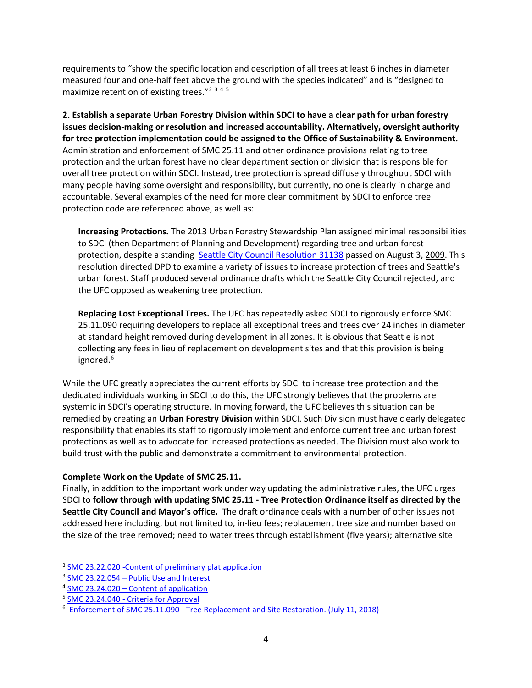requirements to "show the specific location and description of all trees at least 6 inches in diameter measured four and one-half feet above the ground with the species indicated" and is "designed to maximize retention of existing trees."[2](#page-3-0) [3](#page-3-1) [4](#page-3-2) [5](#page-3-3)

**2. Establish a separate Urban Forestry Division within SDCI to have a clear path for urban forestry issues decision-making or resolution and increased accountability. Alternatively, oversight authority for tree protection implementation could be assigned to the Office of Sustainability & Environment.**  Administration and enforcement of SMC 25.11 and other ordinance provisions relating to tree protection and the urban forest have no clear department section or division that is responsible for overall tree protection within SDCI. Instead, tree protection is spread diffusely throughout SDCI with many people having some oversight and responsibility, but currently, no one is clearly in charge and accountable. Several examples of the need for more clear commitment by SDCI to enforce tree protection code are referenced above, as well as:

**Increasing Protections.** The 2013 Urban Forestry Stewardship Plan assigned minimal responsibilities to SDCI (then Department of Planning and Development) regarding tree and urban forest protection, despite a standing [Seattle City Council Resolution 31138](http://clerk.seattle.gov/search/results?s1=&s3=31138&s2=&s4=&Sect4=AND&l=20&Sect2=THESON&Sect3=PLURON&Sect5=RESNY&Sect6=HITOFF&d=RESF&p=1&u=%2F%7Epublic%2Fresny.htm&r=1&f=G) passed on August 3, 2009. This resolution directed DPD to examine a variety of issues to increase protection of trees and Seattle's urban forest. Staff produced several ordinance drafts which the Seattle City Council rejected, and the UFC opposed as weakening tree protection.

**Replacing Lost Exceptional Trees.** The UFC has repeatedly asked SDCI to rigorously enforce SMC 25.11.090 requiring developers to replace all exceptional trees and trees over 24 inches in diameter at standard height removed during development in all zones. It is obvious that Seattle is not collecting any fees in lieu of replacement on development sites and that this provision is being ignored. [6](#page-3-4)

While the UFC greatly appreciates the current efforts by SDCI to increase tree protection and the dedicated individuals working in SDCI to do this, the UFC strongly believes that the problems are systemic in SDCI's operating structure. In moving forward, the UFC believes this situation can be remedied by creating an **Urban Forestry Division** within SDCI. Such Division must have clearly delegated responsibility that enables its staff to rigorously implement and enforce current tree and urban forest protections as well as to advocate for increased protections as needed. The Division must also work to build trust with the public and demonstrate a commitment to environmental protection.

## **Complete Work on the Update of SMC 25.11.**

Finally, in addition to the important work under way updating the administrative rules, the UFC urges SDCI to **follow through with updating SMC 25.11 - Tree Protection Ordinance itself as directed by the Seattle City Council and Mayor's office.** The draft ordinance deals with a number of other issues not addressed here including, but not limited to, in-lieu fees; replacement tree size and number based on the size of the tree removed; need to water trees through establishment (five years); alternative site

<span id="page-3-0"></span><sup>2</sup> [SMC 23.22.020 -Content of preliminary plat application](https://library.municode.com/wa/seattle/codes/municipal_code?nodeId=TIT23LAUSCO_SUBTITLE_IIPLRE_CH23.22SU_SUBCHAPTER_IPRPLPR_23.22.020COPRPLAP)

<span id="page-3-1"></span><sup>&</sup>lt;sup>3</sup> SMC 23.22.054 – [Public Use and Interest](https://library.municode.com/wa/seattle/codes/municipal_code?nodeId=TIT23LAUSCO_SUBTITLE_IIPLRE_CH23.22SU_SUBCHAPTER_IIPRPLCO_23.22.054PUUSIN)

<span id="page-3-2"></span><sup>4</sup> SMC 23.24.020 – [Content of application](https://library.municode.com/wa/seattle/codes/municipal_code?nodeId=TIT23LAUSCO_SUBTITLE_IIPLRE_CH23.24SHPL_23.24.020COAP)

<span id="page-3-3"></span><sup>5</sup> SMC 23.24.040 - [Criteria for Approval](https://library.municode.com/wa/seattle/codes/municipal_code?nodeId=TIT23LAUSCO_SUBTITLE_IIPLRE_CH23.24SHPL_23.24.040CRAP)

<span id="page-3-4"></span><sup>6</sup> Enforcement of SMC 25.11.090 - [Tree Replacement and Site Restoration. \(](http://clerk.seattle.gov/search/results?s1=&s3=31138&s2=&s4=&Sect4=AND&l=20&Sect2=THESON&Sect3=PLURON&Sect5=RESNY&Sect6=HITOFF&d=RESF&p=1&u=%2F%7Epublic%2Fresny.htm&r=1&f=G)July 11, 2018)